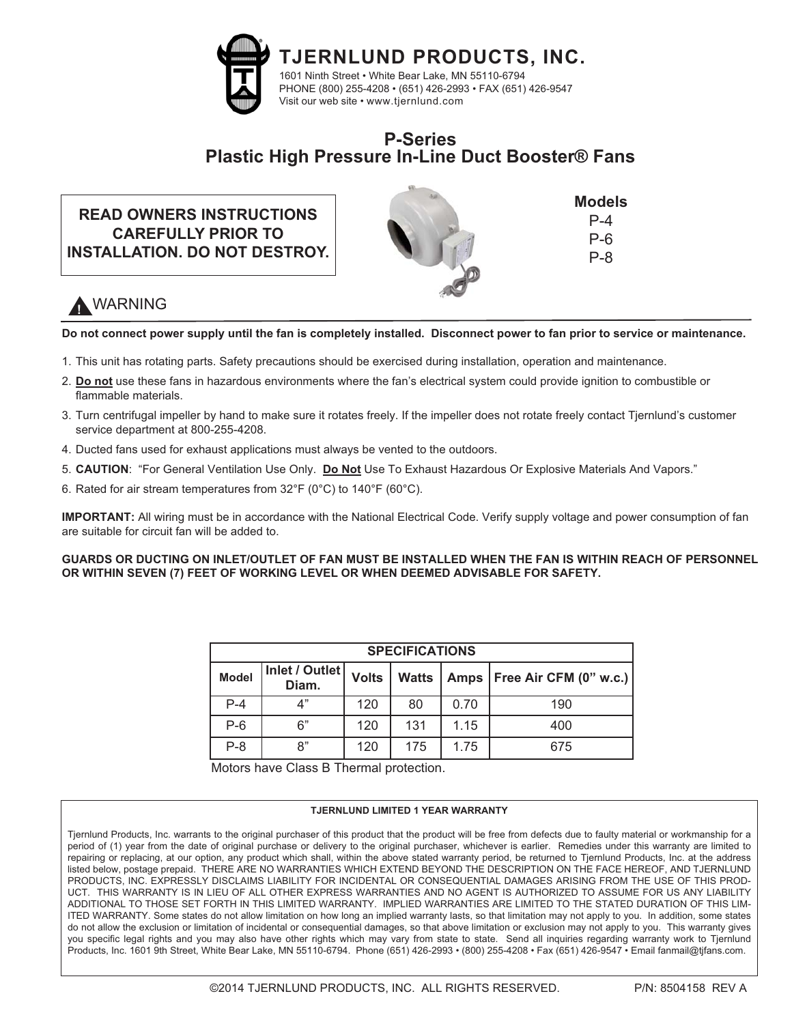

## **P-Series Plastic High Pressure In-Line Duct Booster® Fans**

## **READ OWNERS INSTRUCTIONS CAREFULLY PRIOR TO INSTALLATION. DO NOT DESTROY.**



**Models** P-4 P-6 P-8

# **!** WARNING

**Do not connect power supply until the fan is completely installed. Disconnect power to fan prior to service or maintenance.**

- 1. This unit has rotating parts. Safety precautions should be exercised during installation, operation and maintenance.
- 2. **Do not** use these fans in hazardous environments where the fan's electrical system could provide ignition to combustible or flammable materials.
- 3. Turn centrifugal impeller by hand to make sure it rotates freely. If the impeller does not rotate freely contact Tjernlund's customer service department at 800-255-4208.
- 4. Ducted fans used for exhaust applications must always be vented to the outdoors.
- 5. **CAUTION**: "For General Ventilation Use Only. **Do Not** Use To Exhaust Hazardous Or Explosive Materials And Vapors."
- 6. Rated for air stream temperatures from 32°F (0°C) to 140°F (60°C).

**IMPORTANT:** All wiring must be in accordance with the National Electrical Code. Verify supply voltage and power consumption of fan are suitable for circuit fan will be added to.

**GUARDS OR DUCTING ON INLET/OUTLET OF FAN MUST BE INSTALLED WHEN THE FAN IS WITHIN REACH OF PERSONNEL OR WITHIN SEVEN (7) FEET OF WORKING LEVEL OR WHEN DEEMED ADVISABLE FOR SAFETY.**

| <b>SPECIFICATIONS</b> |                         |              |              |      |                               |
|-----------------------|-------------------------|--------------|--------------|------|-------------------------------|
| <b>Model</b>          | Inlet / Outlet<br>Diam. | <b>Volts</b> | <b>Watts</b> |      | Amps   Free Air CFM (0" w.c.) |
| $P-4$                 | 4"                      | 120          | 80           | 0.70 | 190                           |
| $P-6$                 | 6"                      | 120          | 131          | 1.15 | 400                           |
| $P-8$                 | 8"                      | 120          | 175          | 1.75 | 675                           |

Motors have Class B Thermal protection.

#### **TJERNLUND LIMITED 1 YEAR WARRANTY**

Tjernlund Products, Inc. warrants to the original purchaser of this product that the product will be free from defects due to faulty material or workmanship for a period of (1) year from the date of original purchase or delivery to the original purchaser, whichever is earlier. Remedies under this warranty are limited to repairing or replacing, at our option, any product which shall, within the above stated warranty period, be returned to Tjernlund Products, Inc. at the address listed below, postage prepaid. THERE ARE NO WARRANTIES WHICH EXTEND BEYOND THE DESCRIPTION ON THE FACE HEREOF, AND TJERNLUND PRODUCTS, INC. EXPRESSLY DISCLAIMS LIABILITY FOR INCIDENTAL OR CONSEQUENTIAL DAMAGES ARISING FROM THE USE OF THIS PROD-UCT. THIS WARRANTY IS IN LIEU OF ALL OTHER EXPRESS WARRANTIES AND NO AGENT IS AUTHORIZED TO ASSUME FOR US ANY LIABILITY ADDITIONAL TO THOSE SET FORTH IN THIS LIMITED WARRANTY. IMPLIED WARRANTIES ARE LIMITED TO THE STATED DURATION OF THIS LIM-ITED WARRANTY. Some states do not allow limitation on how long an implied warranty lasts, so that limitation may not apply to you. In addition, some states do not allow the exclusion or limitation of incidental or consequential damages, so that above limitation or exclusion may not apply to you. This warranty gives you specific legal rights and you may also have other rights which may vary from state to state. Send all inquiries regarding warranty work to Tjernlund Products, Inc. 1601 9th Street, White Bear Lake, MN 55110-6794. Phone (651) 426-2993 • (800) 255-4208 • Fax (651) 426-9547 • Email fanmail@tjfans.com.